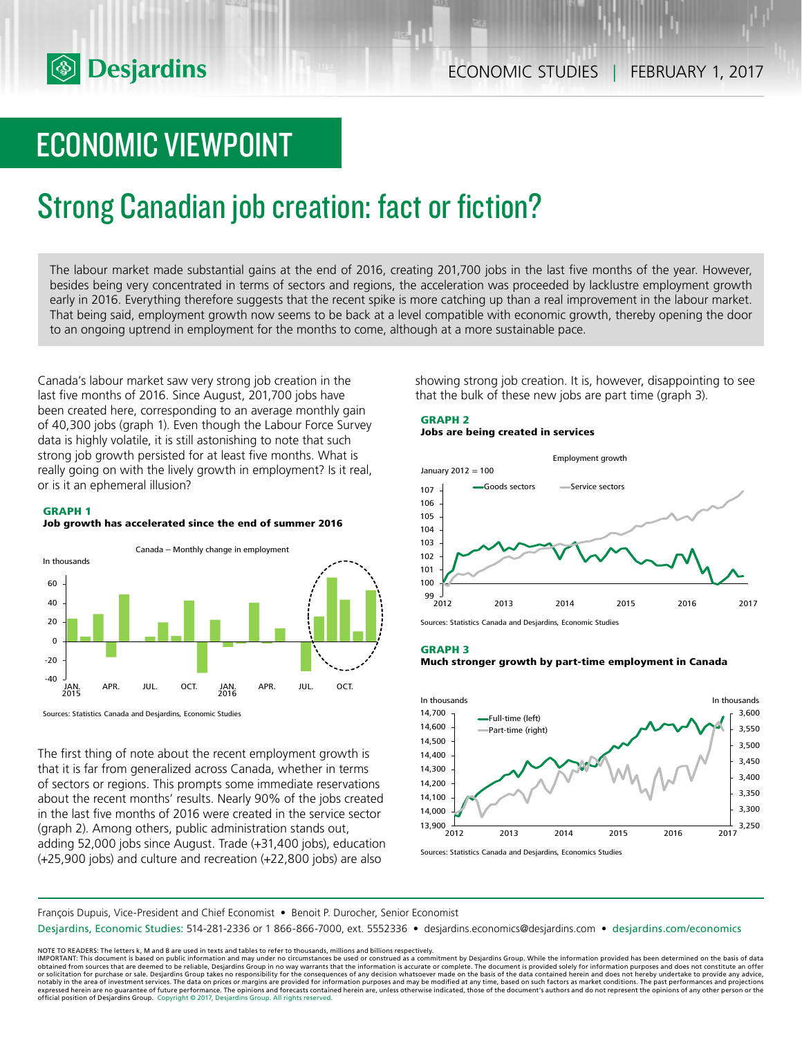

# ECONOMIC VIEWPOINT

# Strong Canadian job creation: fact or fiction?

The labour market made substantial gains at the end of 2016, creating 201,700 jobs in the last five months of the year. However, besides being very concentrated in terms of sectors and regions, the acceleration was proceeded by lacklustre employment growth early in 2016. Everything therefore suggests that the recent spike is more catching up than a real improvement in the labour market. That being said, employment growth now seems to be back at a level compatible with economic growth, thereby opening the door to an ongoing uptrend in employment for the months to come, although at a more sustainable pace.

Canada's labour market saw very strong job creation in the last five months of 2016. Since August, 201,700 jobs have been created here, corresponding to an average monthly gain of 40,300 jobs (graph 1). Even though the Labour Force Survey data is highly volatile, it is still astonishing to note that such strong job growth persisted for at least five months. What is really going on with the lively growth in employment? Is it real, or is it an ephemeral illusion?

# **GRAPH 1 Job growth has accelerated since the end of summer 2016**



Sources: Statistics Canada and Desjardins, Economic Studies

The first thing of note about the recent employment growth is that it is far from generalized across Canada, whether in terms of sectors or regions. This prompts some immediate reservations about the recent months' results. Nearly 90% of the jobs created in the last five months of 2016 were created in the service sector (graph 2). Among others, public administration stands out, adding 52,000 jobs since August. Trade (+31,400 jobs), education (+25,900 jobs) and culture and recreation (+22,800 jobs) are also

showing strong job creation. It is, however, disappointing to see that the bulk of these new jobs are part time (graph 3).

# **GRAPH 2 Jobs are being created in services**



Sources: Statistics Canada and Desjardins, Economic Studi

#### **GRAPH 3**

**Much stronger growth by part-time employment in Canada**



Sources: Statistics Canada and Desjardins, Economics Studies

François Dupuis, Vice-President and Chief Economist • Benoit P. Durocher, Senior Economist

Desjardins, Economic Studies: 514-281-2336 or 1 866-866-7000, ext. 5552336 • desjardins.economics@desjardins.com • desjardins.com/economics

NOTE TO READERS: The letters k, M and B are used in texts and tables to refer to thousands, millions and billions respectively.<br>IMPORTANT: This document is based on public information and may under no circumstances be used obtained from sources that are deemed to be reliable, Desjardins Group in no way warrants that the information is accurate or complete. The document is provided solely for information purposes and does not constitute an of expressed herein are no guarantee of future performance. The opinions and forecasts contained herein are, unless otherwise indicated, those of the document's authors and do not represent the opinions of any other person or official position of Desjardins Group. Copyright © 2017, Desjardins Group. All rights reserved.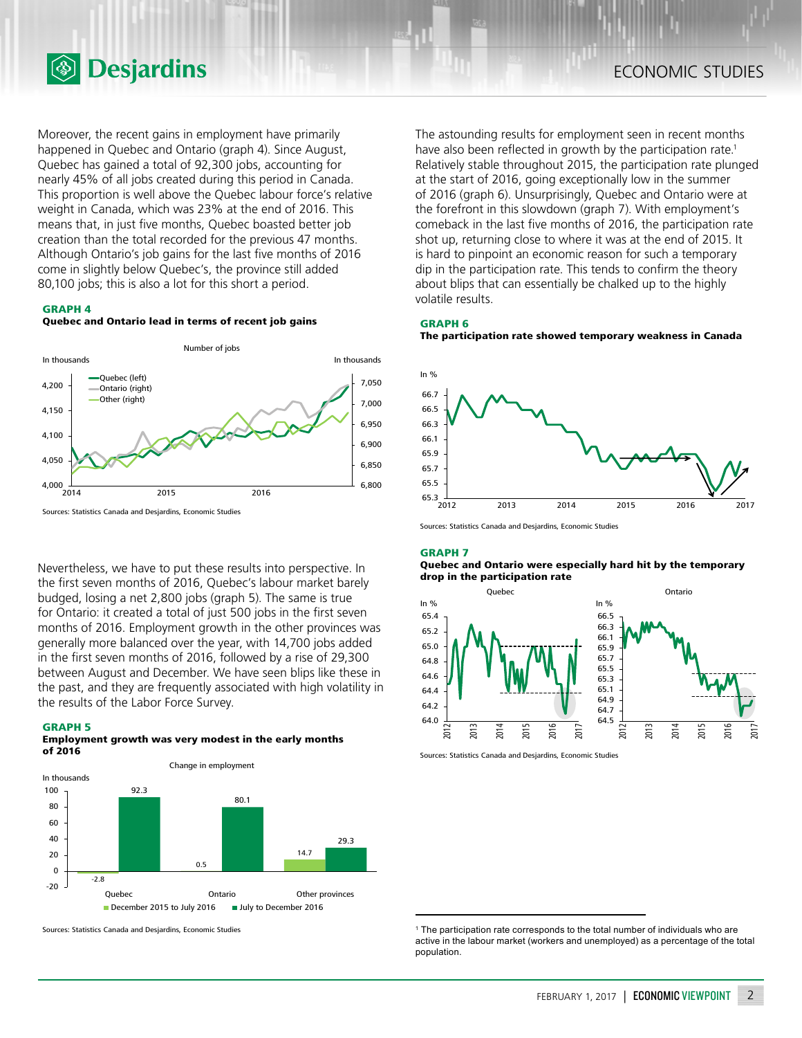

Moreover, the recent gains in employment have primarily happened in Quebec and Ontario (graph 4). Since August, Quebec has gained a total of 92,300 jobs, accounting for nearly 45% of all jobs created during this period in Canada. This proportion is well above the Quebec labour force's relative weight in Canada, which was 23% at the end of 2016. This means that, in just five months, Quebec boasted better job creation than the total recorded for the previous 47 months. Although Ontario's job gains for the last five months of 2016 come in slightly below Quebec's, the province still added 80,100 jobs; this is also a lot for this short a period.

#### **GRAPH 4**





Sources: Statistics Canada and Desjardins, Economic Studies

Nevertheless, we have to put these results into perspective. In the first seven months of 2016, Quebec's labour market barely budged, losing a net 2,800 jobs (graph 5). The same is true for Ontario: it created a total of just 500 jobs in the first seven months of 2016. Employment growth in the other provinces was generally more balanced over the year, with 14,700 jobs added in the first seven months of 2016, followed by a rise of 29,300 between August and December. We have seen blips like these in the past, and they are frequently associated with high volatility in the results of the Labor Force Survey.

### **GRAPH 5**

# **Employment growth was very modest in the early months of 2016**



Sources: Statistics Canada and Desjardins, Economic Studies

The astounding results for employment seen in recent months have also been reflected in growth by the participation rate.<sup>1</sup> Relatively stable throughout 2015, the participation rate plunged at the start of 2016, going exceptionally low in the summer of 2016 (graph 6). Unsurprisingly, Quebec and Ontario were at the forefront in this slowdown (graph 7). With employment's comeback in the last five months of 2016, the participation rate shot up, returning close to where it was at the end of 2015. It is hard to pinpoint an economic reason for such a temporary dip in the participation rate. This tends to confirm the theory about blips that can essentially be chalked up to the highly volatile results.

#### **GRAPH 6**

**The participation rate showed temporary weakness in Canada**



Sources: Statistics Canada and Desjardins, Economic Studies

#### **GRAPH 7**

#### **Quebec and Ontario were especially hard hit by the temporary drop in the participation rate**





<sup>&</sup>lt;sup>1</sup> The participation rate corresponds to the total number of individuals who are active in the labour market (workers and unemployed) as a percentage of the total population.